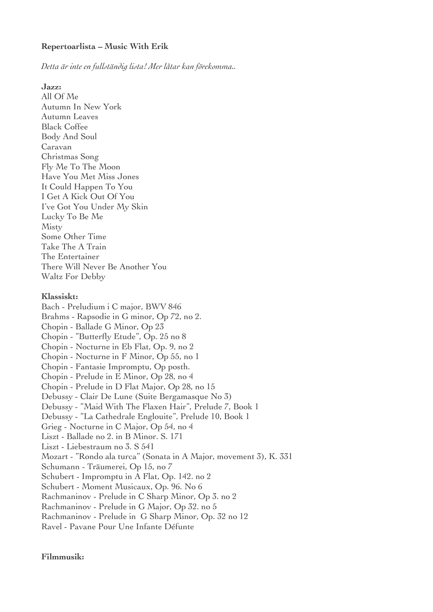## **Repertoarlista – Music With Erik**

*Detta är inte en fullständig lista! Mer låtar kan förekomma..*

**Jazz:**

All Of Me Autumn In New York Autumn Leaves Black Coffee Body And Soul Caravan Christmas Song Fly Me To The Moon Have You Met Miss Jones It Could Happen To You I Get A Kick Out Of You I've Got You Under My Skin Lucky To Be Me Misty Some Other Time Take The A Train The Entertainer There Will Never Be Another You Waltz For Debby **Klassiskt:** Bach - Preludium i C major, BWV 846 Brahms - Rapsodie in G minor, Op 72, no 2. Chopin - Ballade G Minor, Op 23 Chopin - "Butterfy Etude", Op. 25 no 8 Chopin - Nocturne in Eb Flat, Op. 9, no 2 Chopin - Nocturne in F Minor, Op 55, no 1 Chopin - Fantasie Impromptu, Op posth. Chopin - Prelude in E Minor, Op 28, no 4 Chopin - Prelude in D Flat Major, Op 28, no 15 Debussy - Clair De Lune (Suite Bergamasque No 3) Debussy - "Maid With The Flaxen Hair", Prelude 7, Book 1 Debussy - "La Cathedrale Englouite", Prelude 10, Book 1 Grieg - Nocturne in C Major, Op 54, no 4 Liszt - Ballade no 2. in B Minor. S. 171 Liszt - Liebestraum no 3. S 541 Mozart - "Rondo ala turca" (Sonata in A Major, movement 3), K. 331 Schumann - Träumerei, Op 15, no 7 Schubert - Impromptu in A Flat, Op. 142. no 2 Schubert - Moment Musicaux, Op. 96. No 6 Rachmaninov - Prelude in C Sharp Minor, Op 3. no 2 Rachmaninov - Prelude in G Major, Op 32. no 5 Rachmaninov - Prelude in G Sharp Minor, Op. 32 no 12 Ravel - Pavane Pour Une Infante Défunte

**Filmmusik:**